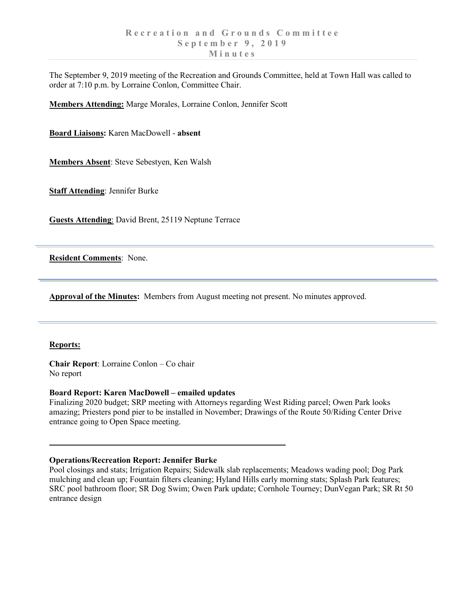The September 9, 2019 meeting of the Recreation and Grounds Committee, held at Town Hall was called to order at 7:10 p.m. by Lorraine Conlon, Committee Chair.

**Members Attending:** Marge Morales, Lorraine Conlon, Jennifer Scott

**Board Liaisons:** Karen MacDowell - **absent**

**Members Absent**: Steve Sebestyen, Ken Walsh

**Staff Attending**: Jennifer Burke

**Guests Attending**: David Brent, 25119 Neptune Terrace

**Resident Comments**: None.

**Approval of the Minutes:** Members from August meeting not present. No minutes approved.

### **Reports:**

**Chair Report**: Lorraine Conlon – Co chair No report

# **Board Report: Karen MacDowell – emailed updates**

Finalizing 2020 budget; SRP meeting with Attorneys regarding West Riding parcel; Owen Park looks amazing; Priesters pond pier to be installed in November; Drawings of the Route 50/Riding Center Drive entrance going to Open Space meeting.

### **Operations/Recreation Report: Jennifer Burke**

Pool closings and stats; Irrigation Repairs; Sidewalk slab replacements; Meadows wading pool; Dog Park mulching and clean up; Fountain filters cleaning; Hyland Hills early morning stats; Splash Park features; SRC pool bathroom floor; SR Dog Swim; Owen Park update; Cornhole Tourney; DunVegan Park; SR Rt 50 entrance design